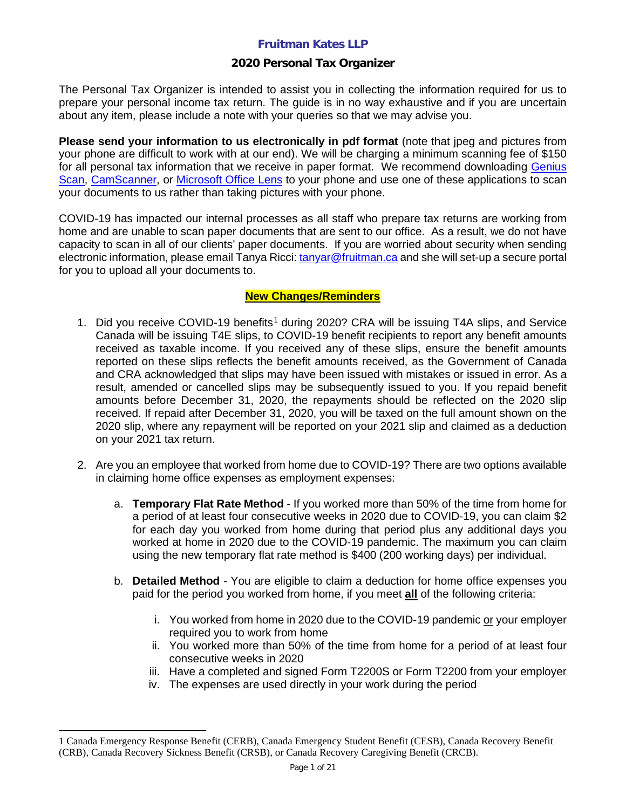## **2020 Personal Tax Organizer**

The Personal Tax Organizer is intended to assist you in collecting the information required for us to prepare your personal income tax return. The guide is in no way exhaustive and if you are uncertain about any item, please include a note with your queries so that we may advise you.

**Please send your information to us electronically in pdf format** (note that jpeg and pictures from your phone are difficult to work with at our end). We will be charging a minimum scanning fee of \$150 for all personal tax information that we receive in paper format. We recommend downloading [Genius](https://apps.apple.com/us/app/genius-scan-pdf-scanner/id377672876)  [Scan,](https://apps.apple.com/us/app/genius-scan-pdf-scanner/id377672876) [CamScanner,](https://apps.apple.com/us/app/camscanner-pdf-scanner-app/id388627783) or [Microsoft Office Lens](https://support.microsoft.com/en-us/office/office-lens-for-windows-577ec09d-8da2-4029-8bb7-12f8114f472a) to your phone and use one of these applications to scan your documents to us rather than taking pictures with your phone.

COVID-19 has impacted our internal processes as all staff who prepare tax returns are working from home and are unable to scan paper documents that are sent to our office. As a result, we do not have capacity to scan in all of our clients' paper documents. If you are worried about security when sending electronic information, please email Tanya Ricci: [tanyar@fruitman.ca](mailto:tanyar@fruitman.ca) and she will set-up a secure portal for you to upload all your documents to.

## **New Changes/Reminders**

- [1](#page-0-0). Did you receive COVID-19 benefits<sup>1</sup> during 2020? CRA will be issuing T4A slips, and Service Canada will be issuing T4E slips, to COVID-19 benefit recipients to report any benefit amounts received as taxable income. If you received any of these slips, ensure the benefit amounts reported on these slips reflects the benefit amounts received, as the Government of Canada and CRA acknowledged that slips may have been issued with mistakes or issued in error. As a result, amended or cancelled slips may be subsequently issued to you. If you repaid benefit amounts before December 31, 2020, the repayments should be reflected on the 2020 slip received. If repaid after December 31, 2020, you will be taxed on the full amount shown on the 2020 slip, where any repayment will be reported on your 2021 slip and claimed as a deduction on your 2021 tax return.
- 2. Are you an employee that worked from home due to COVID-19? There are two options available in claiming home office expenses as employment expenses:
	- a. **Temporary Flat Rate Method** If you worked more than 50% of the time from home for a period of at least four consecutive weeks in 2020 due to COVID-19, you can claim \$2 for each day you worked from home during that period plus any additional days you worked at home in 2020 due to the COVID-19 pandemic. The maximum you can claim using the new temporary flat rate method is \$400 (200 working days) per individual.
	- b. **Detailed Method** You are eligible to claim a deduction for home office expenses you paid for the period you worked from home, if you meet **all** of the following criteria:
		- i. You worked from home in 2020 due to the COVID-19 pandemic or your employer required you to work from home
		- ii. You worked more than 50% of the time from home for a period of at least four consecutive weeks in 2020
		- iii. Have a completed and signed Form T2200S or Form T2200 from your employer
		- iv. The expenses are used directly in your work during the period

<span id="page-0-0"></span><sup>1</sup> Canada Emergency Response Benefit (CERB), Canada Emergency Student Benefit (CESB), Canada Recovery Benefit (CRB), Canada Recovery Sickness Benefit (CRSB), or Canada Recovery Caregiving Benefit (CRCB).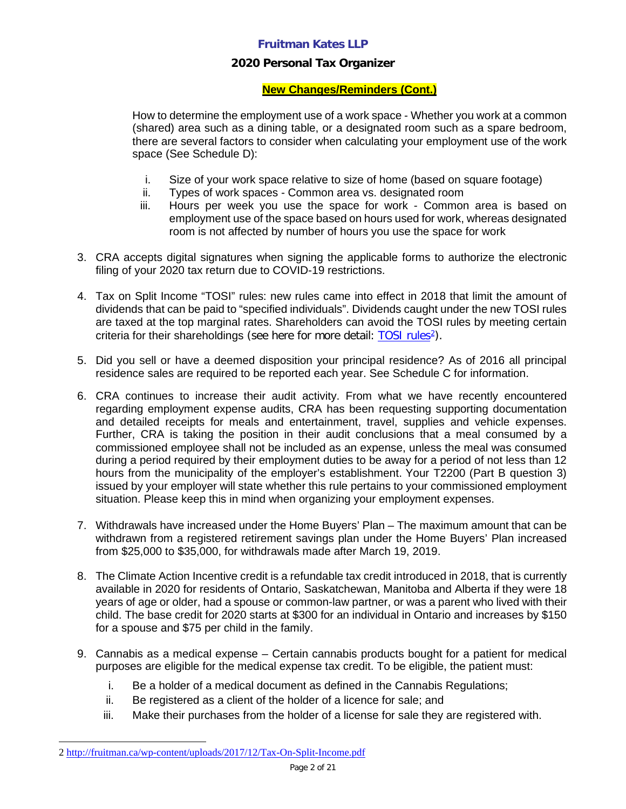## **2020 Personal Tax Organizer**

## **New Changes/Reminders (Cont.)**

How to determine the employment use of a work space - Whether you work at a common (shared) area such as a dining table, or a designated room such as a spare bedroom, there are several factors to consider when calculating your employment use of the work space (See Schedule D):

- i. Size of your work space relative to size of home (based on square footage)
- ii. Types of work spaces Common area vs. designated room
- iii. Hours per week you use the space for work Common area is based on employment use of the space based on hours used for work, whereas designated room is not affected by number of hours you use the space for work
- 3. CRA accepts digital signatures when signing the applicable forms to authorize the electronic filing of your 2020 tax return due to COVID-19 restrictions.
- 4. Tax on Split Income "TOSI" rules: new rules came into effect in 2018 that limit the amount of dividends that can be paid to "specified individuals". Dividends caught under the new TOSI rules are taxed at the top marginal rates. Shareholders can avoid the TOSI rules by meeting certain criteria for their shareholdings (see here for more detail: [TOSI rules](http://fruitman.ca/wp-content/uploads/2017/12/Tax-On-Split-Income.pdf)<sup>[2](#page-1-0)</sup>).
- 5. Did you sell or have a deemed disposition your principal residence? As of 2016 all principal residence sales are required to be reported each year. See Schedule C for information.
- 6. CRA continues to increase their audit activity. From what we have recently encountered regarding employment expense audits, CRA has been requesting supporting documentation and detailed receipts for meals and entertainment, travel, supplies and vehicle expenses. Further, CRA is taking the position in their audit conclusions that a meal consumed by a commissioned employee shall not be included as an expense, unless the meal was consumed during a period required by their employment duties to be away for a period of not less than 12 hours from the municipality of the employer's establishment. Your T2200 (Part B question 3) issued by your employer will state whether this rule pertains to your commissioned employment situation. Please keep this in mind when organizing your employment expenses.
- 7. Withdrawals have increased under the Home Buyers' Plan The maximum amount that can be withdrawn from a registered retirement savings plan under the Home Buyers' Plan increased from \$25,000 to \$35,000, for withdrawals made after March 19, 2019.
- 8. The Climate Action Incentive credit is a refundable tax credit introduced in 2018, that is currently available in 2020 for residents of Ontario, Saskatchewan, Manitoba and Alberta if they were 18 years of age or older, had a spouse or common-law partner, or was a parent who lived with their child. The base credit for 2020 starts at \$300 for an individual in Ontario and increases by \$150 for a spouse and \$75 per child in the family.
- 9. Cannabis as a medical expense Certain cannabis products bought for a patient for medical purposes are eligible for the medical expense tax credit. To be eligible, the patient must:
	- i. Be a holder of a medical document as defined in the Cannabis Regulations;
	- ii. Be registered as a client of the holder of a licence for sale; and
	- iii. Make their purchases from the holder of a license for sale they are registered with.

<span id="page-1-0"></span><sup>2</sup> <http://fruitman.ca/wp-content/uploads/2017/12/Tax-On-Split-Income.pdf>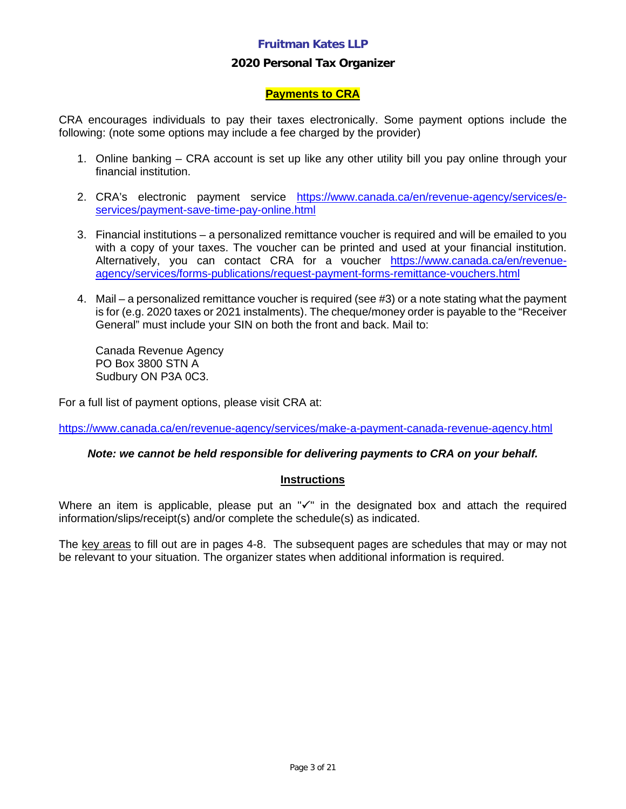## **2020 Personal Tax Organizer**

### **Payments to CRA**

CRA encourages individuals to pay their taxes electronically. Some payment options include the following: (note some options may include a fee charged by the provider)

- 1. Online banking CRA account is set up like any other utility bill you pay online through your financial institution.
- 2. CRA's electronic payment service [https://www.canada.ca/en/revenue-agency/services/e](https://www.canada.ca/en/revenue-agency/services/e-services/payment-save-time-pay-online.html)[services/payment-save-time-pay-online.html](https://www.canada.ca/en/revenue-agency/services/e-services/payment-save-time-pay-online.html)
- 3. Financial institutions a personalized remittance voucher is required and will be emailed to you with a copy of your taxes. The voucher can be printed and used at your financial institution. Alternatively, you can contact CRA for a voucher [https://www.canada.ca/en/revenue](https://www.canada.ca/en/revenue-agency/services/forms-publications/request-payment-forms-remittance-vouchers.html)[agency/services/forms-publications/request-payment-forms-remittance-vouchers.html](https://www.canada.ca/en/revenue-agency/services/forms-publications/request-payment-forms-remittance-vouchers.html)
- 4. Mail a personalized remittance voucher is required (see #3) or a note stating what the payment is for (e.g. 2020 taxes or 2021 instalments). The cheque/money order is payable to the "Receiver General" must include your SIN on both the front and back. Mail to:

Canada Revenue Agency PO Box 3800 STN A Sudbury ON P3A 0C3.

For a full list of payment options, please visit CRA at:

<https://www.canada.ca/en/revenue-agency/services/make-a-payment-canada-revenue-agency.html>

## *Note: we cannot be held responsible for delivering payments to CRA on your behalf.*

### **Instructions**

Where an item is applicable, please put an " $\checkmark$ " in the designated box and attach the required information/slips/receipt(s) and/or complete the schedule(s) as indicated.

The key areas to fill out are in pages 4-8. The subsequent pages are schedules that may or may not be relevant to your situation. The organizer states when additional information is required.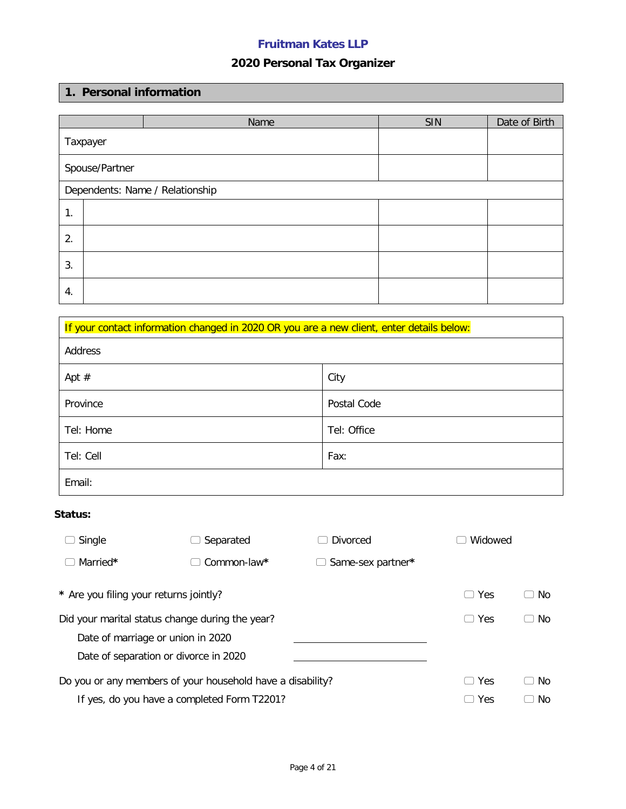# **2020 Personal Tax Organizer**

## **1. Personal information**

|    |                                 | Name | SIN | Date of Birth |
|----|---------------------------------|------|-----|---------------|
|    | Taxpayer                        |      |     |               |
|    | Spouse/Partner                  |      |     |               |
|    | Dependents: Name / Relationship |      |     |               |
| 1. |                                 |      |     |               |
| 2. |                                 |      |     |               |
| 3. |                                 |      |     |               |
| 4. |                                 |      |     |               |

| If your contact information changed in 2020 OR you are a new client, enter details below: |             |  |  |  |  |
|-------------------------------------------------------------------------------------------|-------------|--|--|--|--|
| Address                                                                                   |             |  |  |  |  |
| Apt $#$                                                                                   | City        |  |  |  |  |
| Province                                                                                  | Postal Code |  |  |  |  |
| Tel: Home                                                                                 | Tel: Office |  |  |  |  |
| Tel: Cell<br>Fax:                                                                         |             |  |  |  |  |
| Email:                                                                                    |             |  |  |  |  |

## **Status:**

| Single                                                     | Separated     | Divorced                          | Widowed       |     |
|------------------------------------------------------------|---------------|-----------------------------------|---------------|-----|
| Married*                                                   | $Common-law*$ | Same-sex partner*<br>$\mathbf{L}$ |               |     |
| * Are you filing your returns jointly?                     |               |                                   | Yes<br>$\Box$ | No. |
| Did your marital status change during the year?            |               |                                   | Yes<br>$\Box$ | No. |
| Date of marriage or union in 2020                          |               |                                   |               |     |
| Date of separation or divorce in 2020                      |               |                                   |               |     |
| Do you or any members of your household have a disability? |               |                                   | Yes<br>$\Box$ | No. |
| If yes, do you have a completed Form T2201?                |               |                                   | Yes           | No. |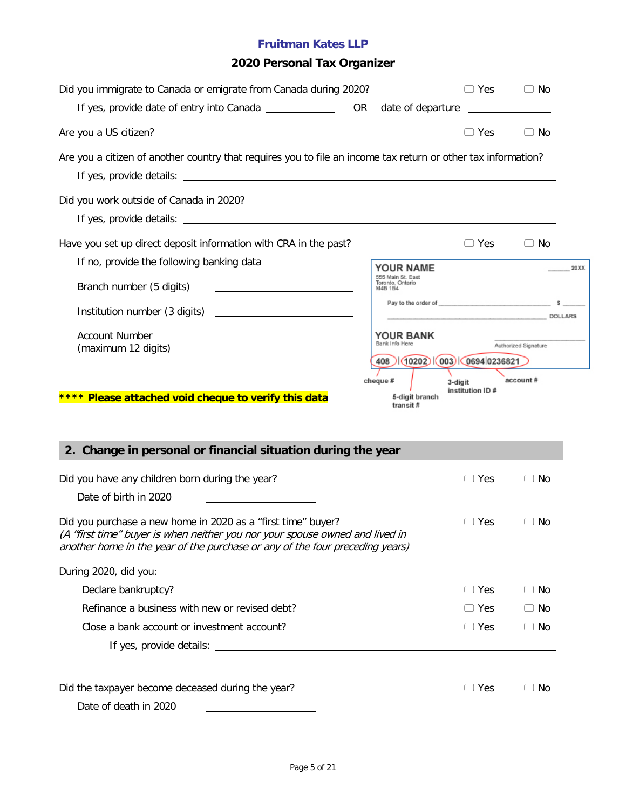# **2020 Personal Tax Organizer**

| Did you immigrate to Canada or emigrate from Canada during 2020?                                                                                                                                                             |           |                                                  | $\Box$ Yes                  | $\Box$ No                                                                                                                                                                                                                                         |
|------------------------------------------------------------------------------------------------------------------------------------------------------------------------------------------------------------------------------|-----------|--------------------------------------------------|-----------------------------|---------------------------------------------------------------------------------------------------------------------------------------------------------------------------------------------------------------------------------------------------|
| If yes, provide date of entry into Canada ______________                                                                                                                                                                     | <b>OR</b> |                                                  |                             |                                                                                                                                                                                                                                                   |
| Are you a US citizen?                                                                                                                                                                                                        |           |                                                  | $\Box$ Yes                  | $\Box$ No                                                                                                                                                                                                                                         |
| Are you a citizen of another country that requires you to file an income tax return or other tax information?                                                                                                                |           |                                                  |                             |                                                                                                                                                                                                                                                   |
| Did you work outside of Canada in 2020?                                                                                                                                                                                      |           |                                                  |                             |                                                                                                                                                                                                                                                   |
| Have you set up direct deposit information with CRA in the past?                                                                                                                                                             |           |                                                  | $\Box$ Yes                  | $\Box$ No                                                                                                                                                                                                                                         |
| If no, provide the following banking data                                                                                                                                                                                    |           | YOUR NAME                                        |                             | 20XX                                                                                                                                                                                                                                              |
| Branch number (5 digits)                                                                                                                                                                                                     |           | 555 Main St. East<br>Toronto, Ontario<br>M4B 1B4 |                             |                                                                                                                                                                                                                                                   |
| Institution number (3 digits)                                                                                                                                                                                                |           |                                                  |                             | Pay to the order of services and services of services and services of services and services of services and services of services and services of services and services of services and services of services and services of se<br>DOLLARS DOLLARS |
| <b>Account Number</b><br>(maximum 12 digits)                                                                                                                                                                                 |           | <b>YOUR BANK</b><br>Bank Info Here<br>408        | (10202)(003)(0694)0236821   | Authorized Signature                                                                                                                                                                                                                              |
| **** Please attached void cheque to verify this data<br>2. Change in personal or financial situation during the year                                                                                                         |           | cheque #<br>5-digit branch<br>transit#           | 3-digit<br>institution ID # | account#                                                                                                                                                                                                                                          |
| Did you have any children born during the year?                                                                                                                                                                              |           |                                                  | ∃ Yes                       | $\Box$ No                                                                                                                                                                                                                                         |
| Date of birth in 2020                                                                                                                                                                                                        |           |                                                  |                             |                                                                                                                                                                                                                                                   |
| Did you purchase a new home in 2020 as a "first time" buyer?<br>(A "first time" buyer is when neither you nor your spouse owned and lived in<br>another home in the year of the purchase or any of the four preceding years) |           |                                                  | Yes                         | No                                                                                                                                                                                                                                                |
| During 2020, did you:                                                                                                                                                                                                        |           |                                                  |                             |                                                                                                                                                                                                                                                   |
| Declare bankruptcy?                                                                                                                                                                                                          |           |                                                  | $\Box$ Yes                  | $\Box$ No                                                                                                                                                                                                                                         |
| Refinance a business with new or revised debt?                                                                                                                                                                               |           |                                                  | $\Box$ Yes                  | $\Box$ No                                                                                                                                                                                                                                         |
| Close a bank account or investment account?                                                                                                                                                                                  |           |                                                  | $\Box$ Yes                  | $\Box$ No                                                                                                                                                                                                                                         |
|                                                                                                                                                                                                                              |           |                                                  |                             |                                                                                                                                                                                                                                                   |
| Did the taxpayer become deceased during the year?                                                                                                                                                                            |           |                                                  | $\Box$ Yes                  | $\supset$ No                                                                                                                                                                                                                                      |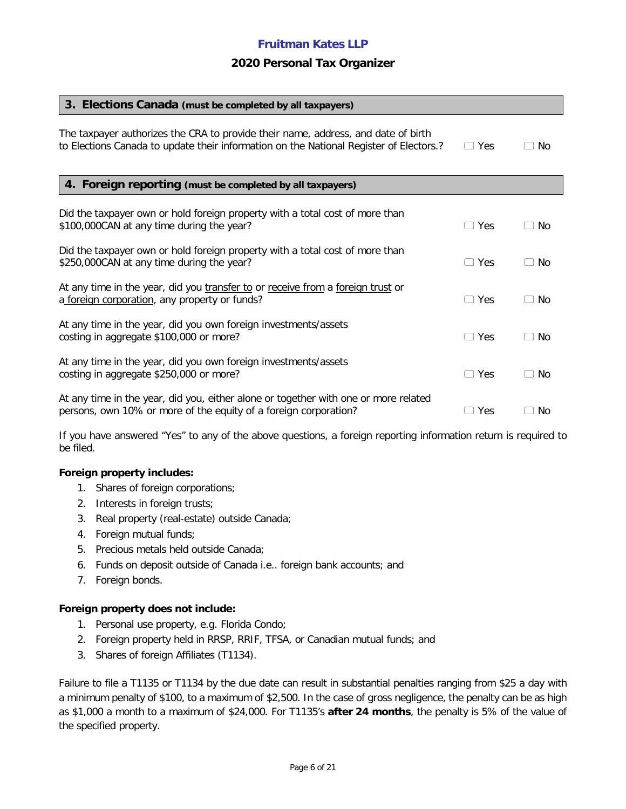### **2020 Personal Tax Organizer**

| 3. Elections Canada (must be completed by all taxpayers)                                                                                                                    |               |                     |
|-----------------------------------------------------------------------------------------------------------------------------------------------------------------------------|---------------|---------------------|
| The taxpayer authorizes the CRA to provide their name, address, and date of birth<br>to Elections Canada to update their information on the National Register of Electors.? | $\Box$ Yes    | No.                 |
| 4. Foreign reporting (must be completed by all taxpayers)                                                                                                                   |               |                     |
| Did the taxpayer own or hold foreign property with a total cost of more than<br>\$100,000CAN at any time during the year?                                                   | $\Box$ Yes    | No                  |
| Did the taxpayer own or hold foreign property with a total cost of more than<br>\$250,000CAN at any time during the year?                                                   | $\Box$ Yes    | No.                 |
| At any time in the year, did you transfer to or receive from a foreign trust or<br>a foreign corporation, any property or funds?                                            | $\Box$ Yes    | No.                 |
| At any time in the year, did you own foreign investments/assets<br>costing in aggregate \$100,000 or more?                                                                  | Yes<br>$\Box$ | No<br>r.            |
| At any time in the year, did you own foreign investments/assets<br>costing in aggregate \$250,000 or more?                                                                  | $\Box$ Yes    | No<br>$\mathcal{L}$ |
| At any time in the year, did you, either alone or together with one or more related<br>persons, own 10% or more of the equity of a foreign corporation?                     | $\supset$ Yes | No                  |

If you have answered "Yes" to any of the above questions, a foreign reporting information return is required to be filed.

#### **Foreign property includes:**

- 1. Shares of foreign corporations;
- 2. Interests in foreign trusts;
- 3. Real property (real-estate) outside Canada;
- 4. Foreign mutual funds;
- 5. Precious metals held outside Canada;
- 6. Funds on deposit outside of Canada i.e.. foreign bank accounts; and
- 7. Foreign bonds.

#### **Foreign property does not include:**

- 1. Personal use property, e.g. Florida Condo;
- 2. Foreign property held in RRSP, RRIF, TFSA, or Canadian mutual funds; and
- 3. Shares of foreign Affiliates (T1134).

Failure to file a T1135 or T1134 by the due date can result in substantial penalties ranging from \$25 a day with a minimum penalty of \$100, to a maximum of \$2,500. In the case of gross negligence, the penalty can be as high as \$1,000 a month to a maximum of \$24,000. For T1135's **after 24 months**, the penalty is 5% of the value of the specified property.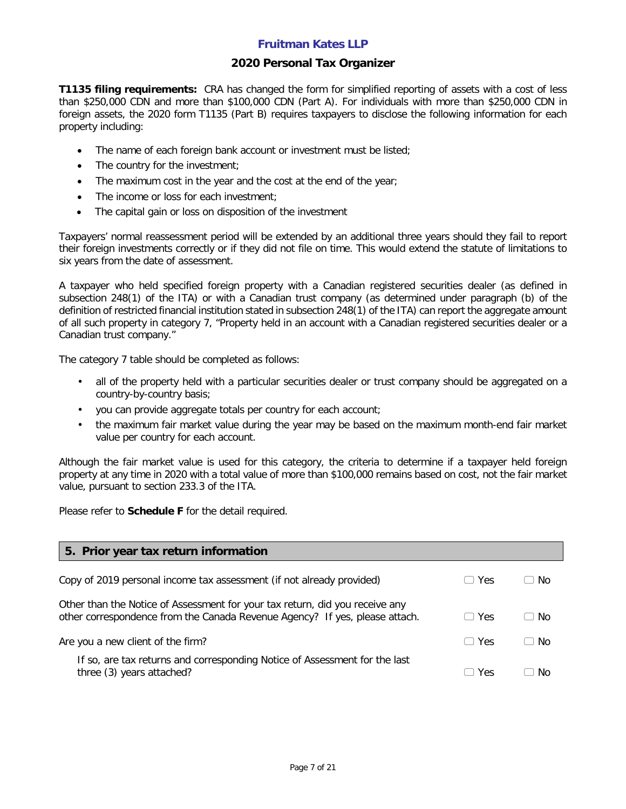### **2020 Personal Tax Organizer**

**T1135 filing requirements:** CRA has changed the form for simplified reporting of assets with a cost of less than \$250,000 CDN and more than \$100,000 CDN (Part A). For individuals with more than \$250,000 CDN in foreign assets, the 2020 form T1135 (Part B) requires taxpayers to disclose the following information for each property including:

- The name of each foreign bank account or investment must be listed;
- The country for the investment;
- The maximum cost in the year and the cost at the end of the year;
- The income or loss for each investment;
- The capital gain or loss on disposition of the investment

Taxpayers' normal reassessment period will be extended by an additional three years should they fail to report their foreign investments correctly or if they did not file on time. This would extend the statute of limitations to six years from the date of assessment.

A taxpayer who held specified foreign property with a Canadian registered securities dealer (as defined in subsection 248(1) of the ITA) or with a Canadian trust company (as determined under paragraph (b) of the definition of restricted financial institution stated in subsection 248(1) of the ITA) can report the aggregate amount of all such property in category 7, "Property held in an account with a Canadian registered securities dealer or a Canadian trust company."

The category 7 table should be completed as follows:

- all of the property held with a particular securities dealer or trust company should be aggregated on a country-by-country basis;
- you can provide aggregate totals per country for each account;
- the maximum fair market value during the year may be based on the maximum month-end fair market value per country for each account.

Although the fair market value is used for this category, the criteria to determine if a taxpayer held foreign property at any time in 2020 with a total value of more than \$100,000 remains based on cost, not the fair market value, pursuant to section 233.3 of the ITA.

Please refer to **Schedule F** for the detail required.

| 5. Prior year tax return information                                                                                                                        |                      |     |
|-------------------------------------------------------------------------------------------------------------------------------------------------------------|----------------------|-----|
| Copy of 2019 personal income tax assessment (if not already provided)                                                                                       | Yes                  | No. |
| Other than the Notice of Assessment for your tax return, did you receive any<br>other correspondence from the Canada Revenue Agency? If yes, please attach. | <b>Yes</b>           | No. |
| Are you a new client of the firm?                                                                                                                           | <b>Yes</b><br>$\Box$ | No. |
| If so, are tax returns and corresponding Notice of Assessment for the last<br>three (3) years attached?                                                     | <b>Yes</b>           | Nο  |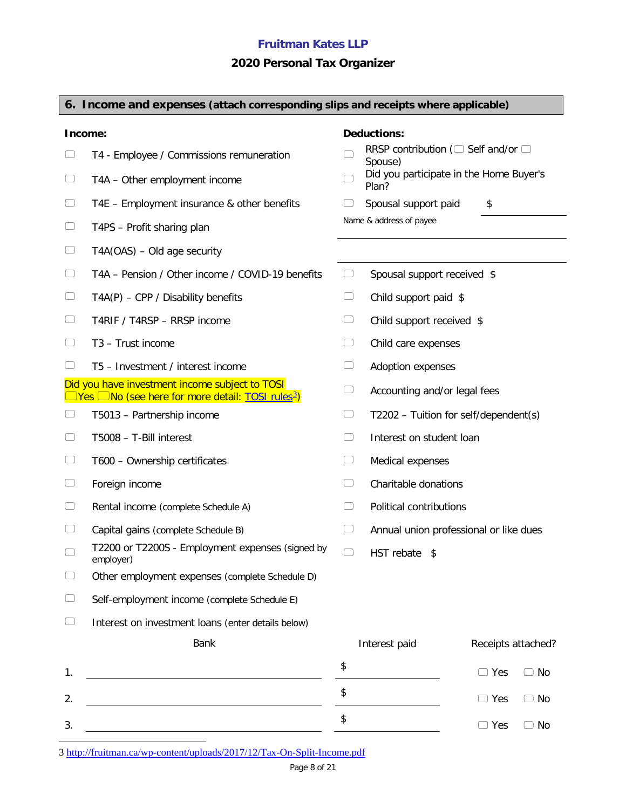# **2020 Personal Tax Organizer**

|                          | 6. Income and expenses (attach corresponding slips and receipts where applicable)                                           |        |                                                          |                                         |
|--------------------------|-----------------------------------------------------------------------------------------------------------------------------|--------|----------------------------------------------------------|-----------------------------------------|
|                          | Income:                                                                                                                     |        | <b>Deductions:</b>                                       |                                         |
|                          | T4 - Employee / Commissions remuneration                                                                                    |        | RRSP contribution ( $\Box$ Self and/or $\Box$<br>Spouse) |                                         |
|                          | T4A - Other employment income                                                                                               |        | Plan?                                                    | Did you participate in the Home Buyer's |
| $\cup$                   | T4E - Employment insurance & other benefits                                                                                 | ◡      | Spousal support paid                                     | \$                                      |
| $\Box$                   | T4PS - Profit sharing plan                                                                                                  |        | Name & address of payee                                  |                                         |
| $\Box$                   | $TA(OAS) - Old age security$                                                                                                |        |                                                          |                                         |
| $\Box$                   | T4A - Pension / Other income / COVID-19 benefits                                                                            | $\cup$ | Spousal support received \$                              |                                         |
| $\Box$                   | $TA(P)$ – CPP / Disability benefits                                                                                         | $\Box$ | Child support paid \$                                    |                                         |
| $\cup$                   | T4RIF / T4RSP - RRSP income                                                                                                 | $\cup$ | Child support received \$                                |                                         |
| $\Box$                   | T3 - Trust income                                                                                                           | $\Box$ | Child care expenses                                      |                                         |
| $\Box$                   | T5 - Investment / interest income                                                                                           | ◡      | Adoption expenses                                        |                                         |
|                          | Did you have investment income subject to TOSI<br>$\Box$ Yes $\Box$ No (see here for more detail: TOSI rules <sup>3</sup> ) | ◡      | Accounting and/or legal fees                             |                                         |
| $\cup$                   | T5013 - Partnership income                                                                                                  | $\cup$ |                                                          | T2202 - Tuition for self/dependent(s)   |
| $\hspace{1.5cm} \square$ | T5008 - T-Bill interest                                                                                                     | $\Box$ | Interest on student loan                                 |                                         |
| $\cup$                   | T600 - Ownership certificates                                                                                               | $\cup$ | Medical expenses                                         |                                         |
| $\Box$                   | Foreign income                                                                                                              | $(\ )$ | Charitable donations                                     |                                         |
|                          | Rental income (complete Schedule A)                                                                                         |        | Political contributions                                  |                                         |
|                          | Capital gains (complete Schedule B)                                                                                         | $\cup$ |                                                          | Annual union professional or like dues  |
|                          | T2200 or T2200S - Employment expenses (signed by<br>employer)                                                               | $\cup$ | HST rebate \$                                            |                                         |
|                          | Other employment expenses (complete Schedule D)                                                                             |        |                                                          |                                         |
|                          | Self-employment income (complete Schedule E)                                                                                |        |                                                          |                                         |
|                          | Interest on investment loans (enter details below)                                                                          |        |                                                          |                                         |
|                          | <b>Bank</b>                                                                                                                 |        | Interest paid                                            | Receipts attached?                      |
| 1.                       |                                                                                                                             | \$     |                                                          | $\Box$ Yes<br>$\Box$ No                 |
| 2.                       |                                                                                                                             | \$     |                                                          | $\Box$ Yes<br>$\Box$ No                 |
| 3.                       |                                                                                                                             | \$     |                                                          | $\Box$ No<br>$\Box$ Yes                 |

<span id="page-7-0"></span>3 <http://fruitman.ca/wp-content/uploads/2017/12/Tax-On-Split-Income.pdf>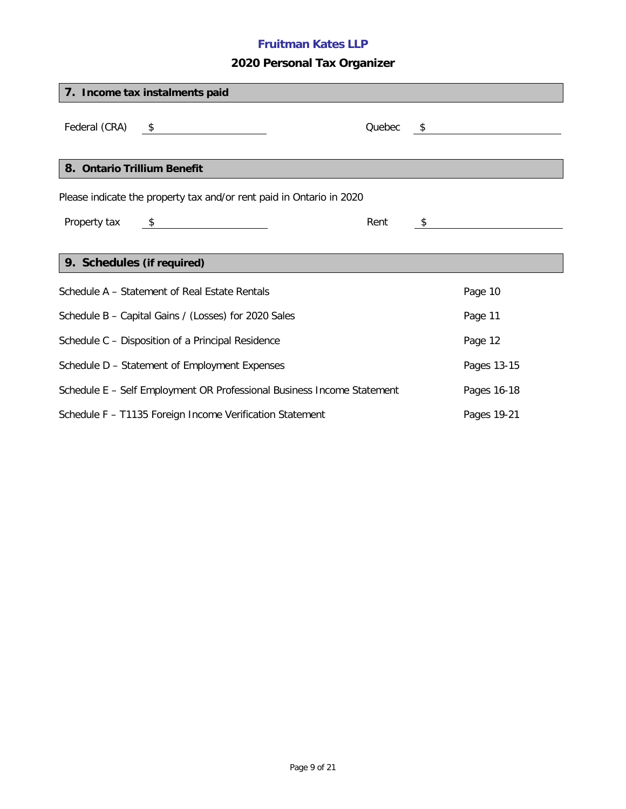# **2020 Personal Tax Organizer**

| 7. Income tax instalments paid                                         |               |        |    |             |  |
|------------------------------------------------------------------------|---------------|--------|----|-------------|--|
| Federal (CRA) $\frac{\$}{\_}$                                          |               | Quebec |    |             |  |
| 8. Ontario Trillium Benefit                                            |               |        |    |             |  |
| Please indicate the property tax and/or rent paid in Ontario in 2020   |               |        |    |             |  |
| Property tax                                                           | $\frac{1}{2}$ | Rent   | S, |             |  |
|                                                                        |               |        |    |             |  |
| 9. Schedules (if required)                                             |               |        |    |             |  |
| Schedule A - Statement of Real Estate Rentals                          |               |        |    | Page 10     |  |
| Schedule B - Capital Gains / (Losses) for 2020 Sales                   |               |        |    | Page 11     |  |
| Schedule C - Disposition of a Principal Residence                      |               |        |    | Page 12     |  |
| Schedule D - Statement of Employment Expenses                          |               |        |    | Pages 13-15 |  |
| Schedule E - Self Employment OR Professional Business Income Statement |               |        |    | Pages 16-18 |  |
| Schedule F - T1135 Foreign Income Verification Statement               |               |        |    | Pages 19-21 |  |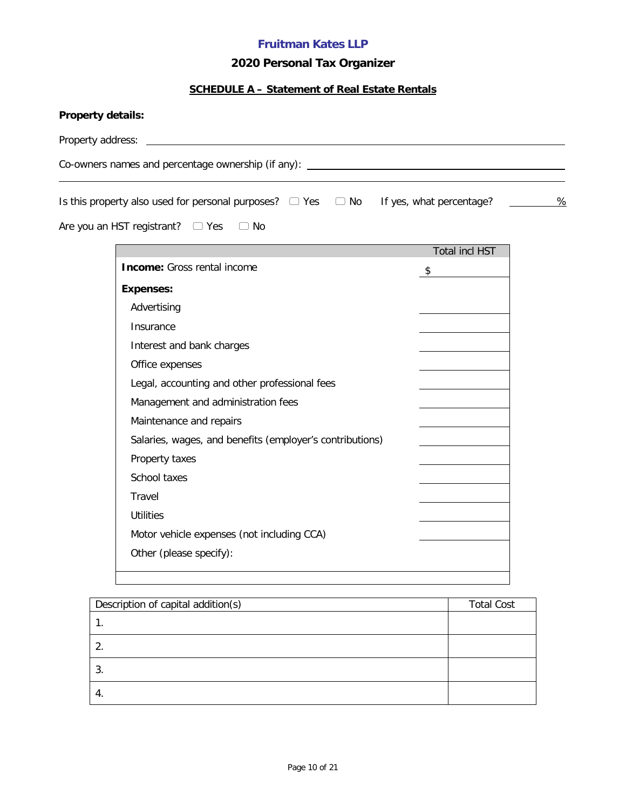# **2020 Personal Tax Organizer**

# **SCHEDULE A – Statement of Real Estate Rentals**

| Co-owners names and percentage ownership (if any): _____________________________      |                         |                   |   |
|---------------------------------------------------------------------------------------|-------------------------|-------------------|---|
| Is this property also used for personal purposes? □ Yes □ No If yes, what percentage? |                         |                   | % |
| Are you an HST registrant? $\Box$ Yes<br>$\Box$ No                                    |                         |                   |   |
|                                                                                       |                         | Total incl HST    |   |
| <b>Income:</b> Gross rental income                                                    | $\sqrt[6]{\frac{1}{2}}$ |                   |   |
| <b>Expenses:</b>                                                                      |                         |                   |   |
| Advertising                                                                           |                         |                   |   |
| Insurance                                                                             |                         |                   |   |
| Interest and bank charges                                                             |                         |                   |   |
| Office expenses                                                                       |                         |                   |   |
| Legal, accounting and other professional fees                                         |                         |                   |   |
| Management and administration fees                                                    |                         |                   |   |
| Maintenance and repairs                                                               |                         |                   |   |
| Salaries, wages, and benefits (employer's contributions)                              |                         |                   |   |
| Property taxes                                                                        |                         |                   |   |
| School taxes                                                                          |                         |                   |   |
| Travel                                                                                |                         |                   |   |
| <b>Utilities</b>                                                                      |                         |                   |   |
| Motor vehicle expenses (not including CCA)                                            |                         |                   |   |
| Other (please specify):                                                               |                         |                   |   |
|                                                                                       |                         |                   |   |
|                                                                                       |                         |                   |   |
| Description of capital addition(s)                                                    |                         | <b>Total Cost</b> |   |

| Description of capital addition(s) | <b>Total Cost</b> |
|------------------------------------|-------------------|
|                                    |                   |
|                                    |                   |
| ა.                                 |                   |
| 4.                                 |                   |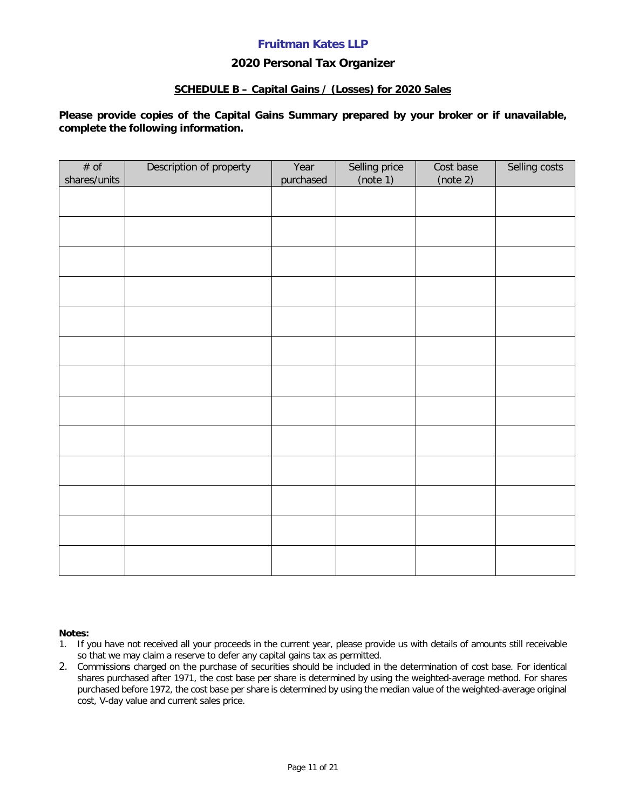### **2020 Personal Tax Organizer**

#### **SCHEDULE B – Capital Gains / (Losses) for 2020 Sales**

**Please provide copies of the Capital Gains Summary prepared by your broker or if unavailable, complete the following information.**

| # of<br>shares/units | Description of property | Year<br>purchased | Selling price<br>(note 1) | Cost base<br>(note 2) | Selling costs |
|----------------------|-------------------------|-------------------|---------------------------|-----------------------|---------------|
|                      |                         |                   |                           |                       |               |
|                      |                         |                   |                           |                       |               |
|                      |                         |                   |                           |                       |               |
|                      |                         |                   |                           |                       |               |
|                      |                         |                   |                           |                       |               |
|                      |                         |                   |                           |                       |               |
|                      |                         |                   |                           |                       |               |
|                      |                         |                   |                           |                       |               |
|                      |                         |                   |                           |                       |               |
|                      |                         |                   |                           |                       |               |
|                      |                         |                   |                           |                       |               |
|                      |                         |                   |                           |                       |               |
|                      |                         |                   |                           |                       |               |
|                      |                         |                   |                           |                       |               |

#### **Notes:**

- 1. If you have not received all your proceeds in the current year, please provide us with details of amounts still receivable so that we may claim a reserve to defer any capital gains tax as permitted.
- 2. Commissions charged on the purchase of securities should be included in the determination of cost base. For identical shares purchased after 1971, the cost base per share is determined by using the weighted-average method. For shares purchased before 1972, the cost base per share is determined by using the median value of the weighted-average original cost, V-day value and current sales price.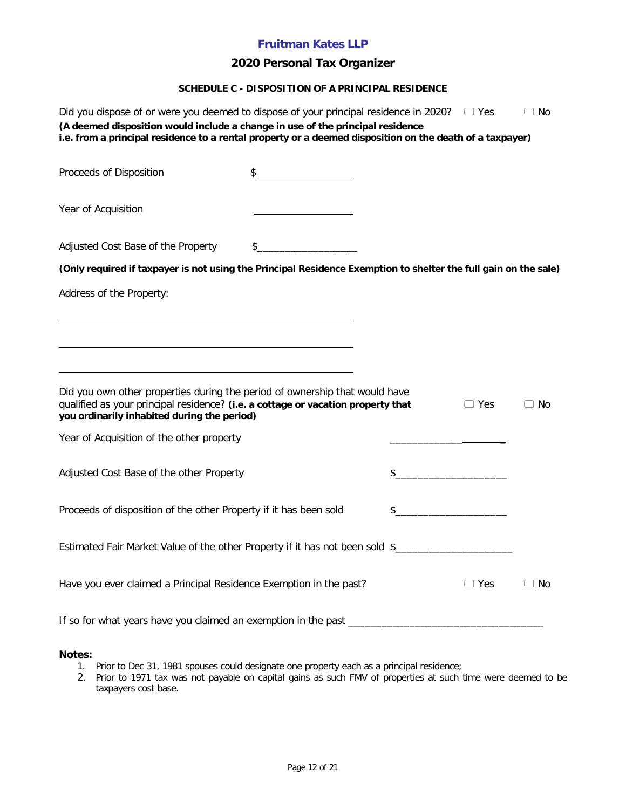## **2020 Personal Tax Organizer**

#### **SCHEDULE C - DISPOSITION OF A PRINCIPAL RESIDENCE**

| Did you dispose of or were you deemed to dispose of your principal residence in 2020?                                                                                                                          |               |     | — ∪ Yes    | $\Box$ No |
|----------------------------------------------------------------------------------------------------------------------------------------------------------------------------------------------------------------|---------------|-----|------------|-----------|
| (A deemed disposition would include a change in use of the principal residence<br>i.e. from a principal residence to a rental property or a deemed disposition on the death of a taxpayer)                     |               |     |            |           |
| Proceeds of Disposition                                                                                                                                                                                        | $\frac{1}{2}$ |     |            |           |
| Year of Acquisition                                                                                                                                                                                            |               |     |            |           |
| Adjusted Cost Base of the Property                                                                                                                                                                             |               |     |            |           |
| (Only required if taxpayer is not using the Principal Residence Exemption to shelter the full gain on the sale)                                                                                                |               |     |            |           |
| Address of the Property:                                                                                                                                                                                       |               |     |            |           |
|                                                                                                                                                                                                                |               |     |            |           |
|                                                                                                                                                                                                                |               |     |            |           |
|                                                                                                                                                                                                                |               |     |            |           |
| Did you own other properties during the period of ownership that would have<br>qualified as your principal residence? (i.e. a cottage or vacation property that<br>you ordinarily inhabited during the period) |               |     | $\Box$ Yes | ⊃ No      |
| Year of Acquisition of the other property                                                                                                                                                                      |               |     |            |           |
| Adjusted Cost Base of the other Property                                                                                                                                                                       |               | \$_ |            |           |
| Proceeds of disposition of the other Property if it has been sold                                                                                                                                              |               | \$  |            |           |
| Estimated Fair Market Value of the other Property if it has not been sold \$________________________                                                                                                           |               |     |            |           |
| Have you ever claimed a Principal Residence Exemption in the past?                                                                                                                                             |               |     | ⊃ Yes      | No        |
|                                                                                                                                                                                                                |               |     |            |           |

**Notes:**

- 1. Prior to Dec 31, 1981 spouses could designate one property each as a principal residence;
- 2. Prior to 1971 tax was not payable on capital gains as such FMV of properties at such time were deemed to be taxpayers cost base.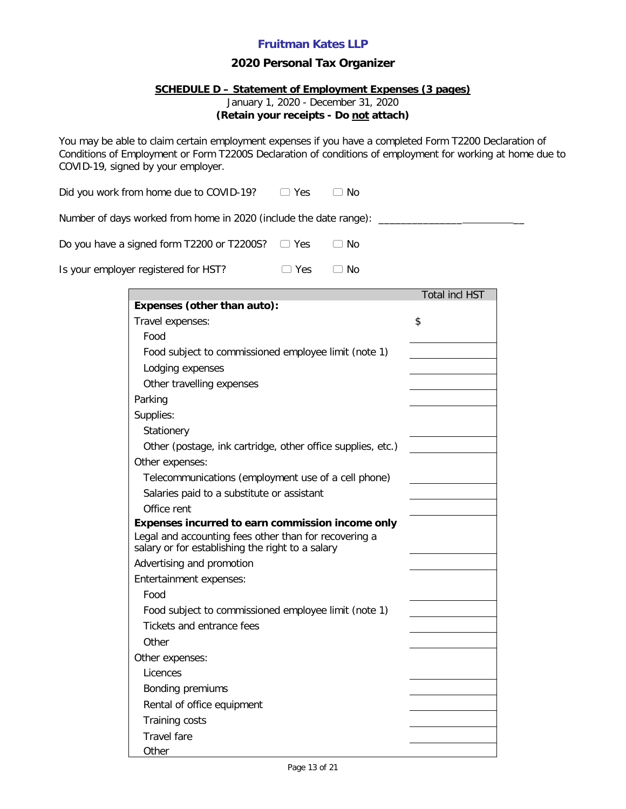### **2020 Personal Tax Organizer**

### **SCHEDULE D – Statement of Employment Expenses (3 pages)**

January 1, 2020 - December 31, 2020

### **(Retain your receipts - Do not attach)**

You may be able to claim certain employment expenses if you have a completed Form T2200 Declaration of Conditions of Employment or Form T2200S Declaration of conditions of employment for working at home due to COVID-19, signed by your employer.

Did you work from home due to COVID-19?  $\Box$  Yes  $\Box$  No

Number of days worked from home in 2020 (include the date range): \_\_\_\_\_\_\_\_\_\_\_\_\_\_\_

|  | Do you have a signed form T2200 or T2200S? $\Box$ Yes |  | $\Box$ No |
|--|-------------------------------------------------------|--|-----------|
|--|-------------------------------------------------------|--|-----------|

| Is your employer registered for HST? | $\Box$ Yes | $\Box$ No |
|--------------------------------------|------------|-----------|
|--------------------------------------|------------|-----------|

|                                                                                                           | Total incl HST |
|-----------------------------------------------------------------------------------------------------------|----------------|
| Expenses (other than auto):                                                                               |                |
| Travel expenses:                                                                                          | \$             |
| Food                                                                                                      |                |
| Food subject to commissioned employee limit (note 1)                                                      |                |
| Lodging expenses                                                                                          |                |
| Other travelling expenses                                                                                 |                |
| Parking                                                                                                   |                |
| Supplies:                                                                                                 |                |
| Stationery                                                                                                |                |
| Other (postage, ink cartridge, other office supplies, etc.)                                               |                |
| Other expenses:                                                                                           |                |
| Telecommunications (employment use of a cell phone)                                                       |                |
| Salaries paid to a substitute or assistant                                                                |                |
| Office rent                                                                                               |                |
| Expenses incurred to earn commission income only                                                          |                |
| Legal and accounting fees other than for recovering a<br>salary or for establishing the right to a salary |                |
| Advertising and promotion                                                                                 |                |
| Entertainment expenses:                                                                                   |                |
| Food                                                                                                      |                |
| Food subject to commissioned employee limit (note 1)                                                      |                |
| Tickets and entrance fees                                                                                 |                |
| Other                                                                                                     |                |
| Other expenses:                                                                                           |                |
| Licences                                                                                                  |                |
| Bonding premiums                                                                                          |                |
| Rental of office equipment                                                                                |                |
| <b>Training costs</b>                                                                                     |                |
| Travel fare                                                                                               |                |
| Other                                                                                                     |                |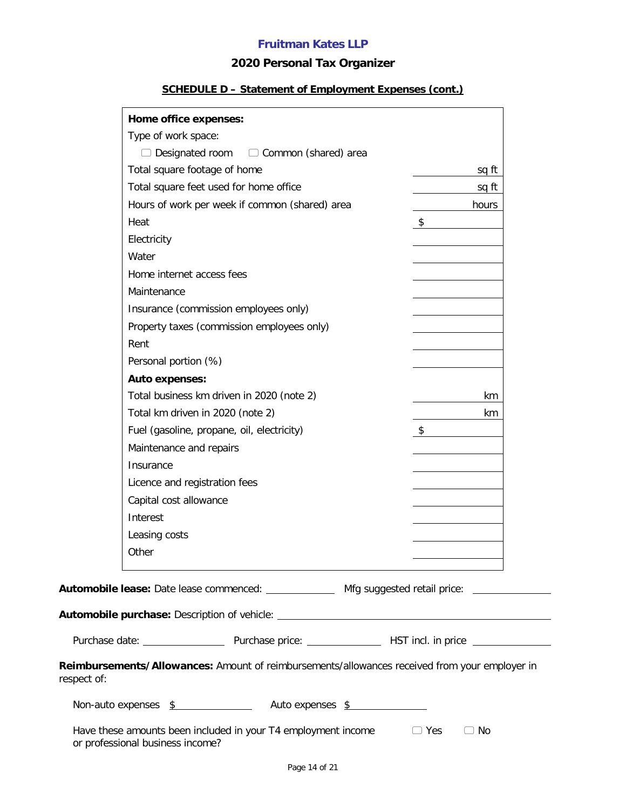## **2020 Personal Tax Organizer**

## **SCHEDULE D – Statement of Employment Expenses (cont.)**

|             | Home office expenses:            |                                                                                                    |    |           |
|-------------|----------------------------------|----------------------------------------------------------------------------------------------------|----|-----------|
|             | Type of work space:              |                                                                                                    |    |           |
|             |                                  | $\Box$ Designated room $\Box$ Common (shared) area                                                 |    |           |
|             | Total square footage of home     |                                                                                                    |    | sq ft     |
|             |                                  | Total square feet used for home office                                                             |    | sq ft     |
|             |                                  | Hours of work per week if common (shared) area                                                     |    | hours     |
|             | Heat                             |                                                                                                    | \$ |           |
|             | Electricity                      |                                                                                                    |    |           |
|             | Water                            |                                                                                                    |    |           |
|             | Home internet access fees        |                                                                                                    |    |           |
|             | Maintenance                      |                                                                                                    |    |           |
|             |                                  | Insurance (commission employees only)                                                              |    |           |
|             |                                  | Property taxes (commission employees only)                                                         |    |           |
|             | Rent                             |                                                                                                    |    |           |
|             | Personal portion (%)             |                                                                                                    |    |           |
|             | <b>Auto expenses:</b>            |                                                                                                    |    |           |
|             |                                  | Total business km driven in 2020 (note 2)                                                          |    | km        |
|             | Total km driven in 2020 (note 2) |                                                                                                    |    | km        |
|             |                                  | Fuel (gasoline, propane, oil, electricity)                                                         | \$ |           |
|             | Maintenance and repairs          |                                                                                                    |    |           |
|             | Insurance                        |                                                                                                    |    |           |
|             | Licence and registration fees    |                                                                                                    |    |           |
|             | Capital cost allowance           |                                                                                                    |    |           |
|             | Interest                         |                                                                                                    |    |           |
|             | Leasing costs                    |                                                                                                    |    |           |
|             | Other                            |                                                                                                    |    |           |
|             |                                  | Automobile lease: Date lease commenced: ______________ Mfg suggested retail price: _______________ |    |           |
|             |                                  |                                                                                                    |    |           |
|             |                                  |                                                                                                    |    |           |
| respect of: |                                  | Reimbursements/Allowances: Amount of reimbursements/allowances received from your employer in      |    |           |
|             |                                  | Non-auto expenses \$ Auto expenses \$                                                              |    |           |
|             | or professional business income? | Have these amounts been included in your $T4$ employment income $\Box$ Yes                         |    | $\Box$ No |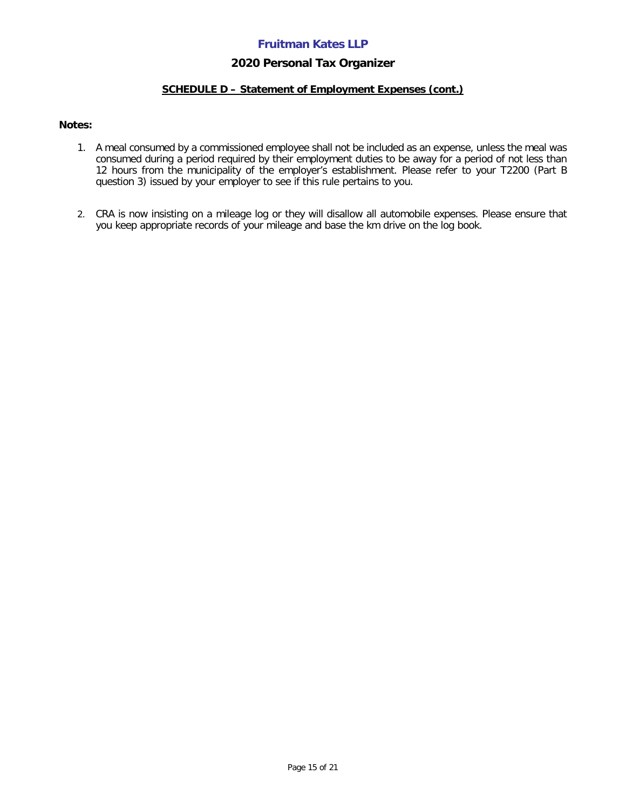### **2020 Personal Tax Organizer**

### **SCHEDULE D – Statement of Employment Expenses (cont.)**

#### **Notes:**

- 1. A meal consumed by a commissioned employee shall not be included as an expense, unless the meal was consumed during a period required by their employment duties to be away for a period of not less than 12 hours from the municipality of the employer's establishment. Please refer to your T2200 (Part B question 3) issued by your employer to see if this rule pertains to you.
- 2. CRA is now insisting on a mileage log or they will disallow all automobile expenses. Please ensure that you keep appropriate records of your mileage and base the km drive on the log book.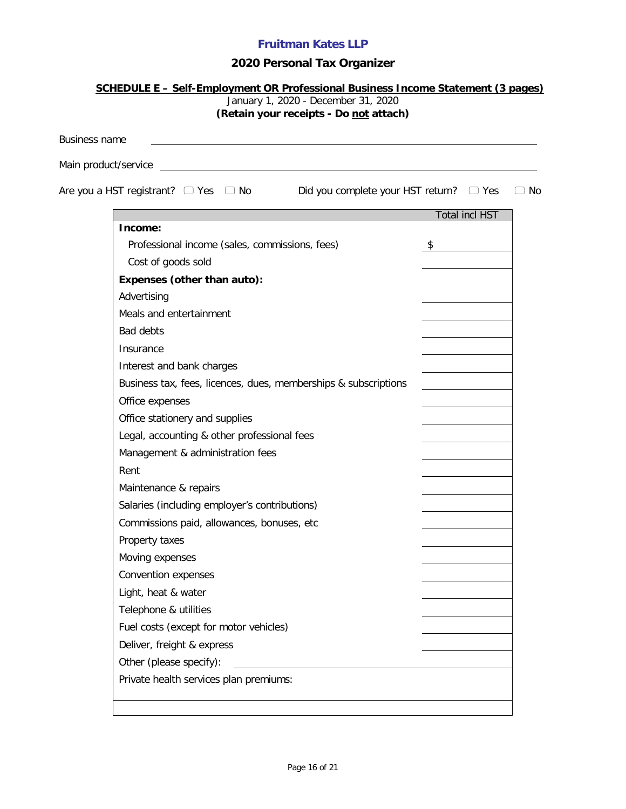# **2020 Personal Tax Organizer**

|                      | January 1, 2020 - December 31, 2020<br>(Retain your receipts - Do not attach)               |                       |     |
|----------------------|---------------------------------------------------------------------------------------------|-----------------------|-----|
| <b>Business name</b> |                                                                                             |                       |     |
|                      |                                                                                             |                       |     |
|                      | Are you a HST registrant? $\Box$ Yes $\Box$ No Bid you complete your HST return? $\Box$ Yes |                       | No. |
|                      |                                                                                             |                       |     |
|                      | Income:                                                                                     | <b>Total incl HST</b> |     |
|                      | Professional income (sales, commissions, fees)                                              | \$                    |     |
|                      | Cost of goods sold                                                                          |                       |     |
|                      | Expenses (other than auto):                                                                 |                       |     |
|                      | Advertising                                                                                 |                       |     |
|                      | Meals and entertainment                                                                     |                       |     |
|                      | <b>Bad debts</b>                                                                            |                       |     |
|                      | Insurance                                                                                   |                       |     |
|                      | Interest and bank charges                                                                   |                       |     |
|                      | Business tax, fees, licences, dues, memberships & subscriptions                             |                       |     |
|                      | Office expenses                                                                             |                       |     |
|                      | Office stationery and supplies                                                              |                       |     |
|                      | Legal, accounting & other professional fees                                                 |                       |     |
|                      | Management & administration fees                                                            |                       |     |
|                      | Rent                                                                                        |                       |     |
|                      | Maintenance & repairs                                                                       |                       |     |
|                      | Salaries (including employer's contributions)                                               |                       |     |
|                      | Commissions paid, allowances, bonuses, etc                                                  |                       |     |
|                      | Property taxes                                                                              |                       |     |
|                      | Moving expenses                                                                             |                       |     |
|                      | Convention expenses                                                                         |                       |     |
|                      | Light, heat & water                                                                         |                       |     |
|                      | Telephone & utilities                                                                       |                       |     |
|                      | Fuel costs (except for motor vehicles)                                                      |                       |     |
|                      | Deliver, freight & express                                                                  |                       |     |
|                      | Other (please specify):                                                                     |                       |     |
|                      | Private health services plan premiums:                                                      |                       |     |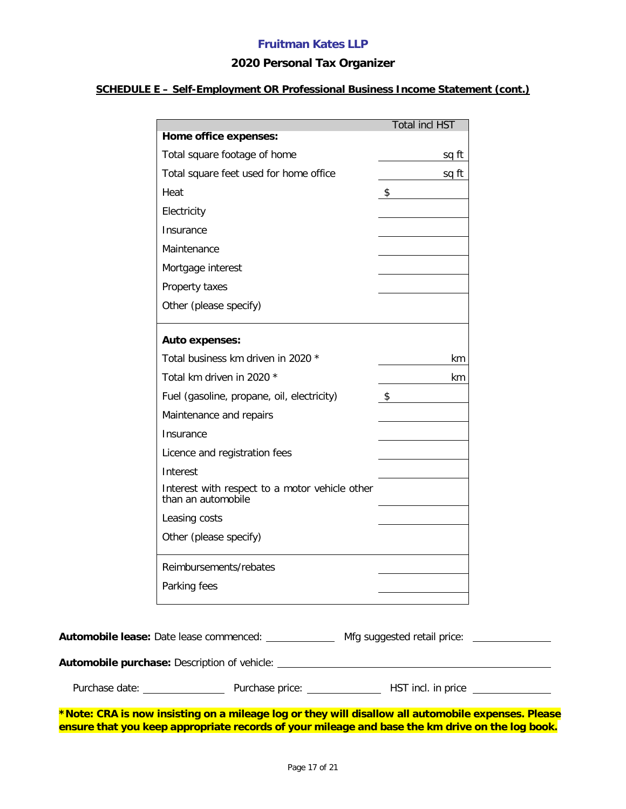### **2020 Personal Tax Organizer**

### **SCHEDULE E – Self-Employment OR Professional Business Income Statement (cont.)**

| Home office expenses:                                                |                         |       |
|----------------------------------------------------------------------|-------------------------|-------|
|                                                                      |                         |       |
| Total square footage of home                                         |                         | sq ft |
| Total square feet used for home office                               |                         | sq ft |
|                                                                      | $\sqrt[6]{\frac{1}{2}}$ |       |
|                                                                      |                         |       |
|                                                                      |                         |       |
|                                                                      |                         |       |
| Mortgage interest                                                    |                         |       |
|                                                                      |                         |       |
| Other (please specify)                                               |                         |       |
| <b>Auto expenses:</b>                                                |                         |       |
| Total business km driven in 2020 *                                   |                         | km    |
| Total km driven in 2020 *                                            |                         | km    |
| Fuel (gasoline, propane, oil, electricity)                           | $\sqrt{2}$              |       |
| Maintenance and repairs                                              |                         |       |
|                                                                      |                         |       |
| Licence and registration fees                                        |                         |       |
|                                                                      |                         |       |
| Interest with respect to a motor vehicle other<br>than an automobile |                         |       |
|                                                                      |                         |       |
| Other (please specify)                                               |                         |       |
| Reimbursements/rebates                                               |                         |       |
|                                                                      |                         |       |
|                                                                      |                         |       |

Purchase date: Purchase price: HST incl. in price

**Automobile purchase:** Description of vehicle:

**\*Note: CRA is now insisting on a mileage log or they will disallow all automobile expenses. Please ensure that you keep appropriate records of your mileage and base the km drive on the log book.**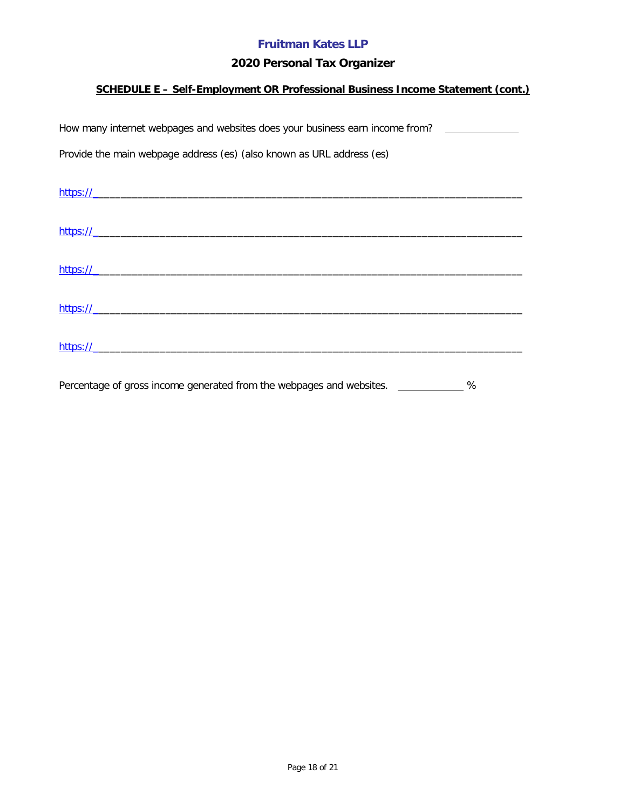## **2020 Personal Tax Organizer**

## **SCHEDULE E – Self-Employment OR Professional Business Income Statement (cont.)**

| How many internet webpages and websites does your business earn income from? |  |  |  |  |  |  |  |  |
|------------------------------------------------------------------------------|--|--|--|--|--|--|--|--|
| Provide the main webpage address (es) (also known as URL address (es)        |  |  |  |  |  |  |  |  |
|                                                                              |  |  |  |  |  |  |  |  |
|                                                                              |  |  |  |  |  |  |  |  |
| https://                                                                     |  |  |  |  |  |  |  |  |
|                                                                              |  |  |  |  |  |  |  |  |
| https://                                                                     |  |  |  |  |  |  |  |  |
| https://                                                                     |  |  |  |  |  |  |  |  |
|                                                                              |  |  |  |  |  |  |  |  |
| https://                                                                     |  |  |  |  |  |  |  |  |

Percentage of gross income generated from the webpages and websites. \_\_\_\_\_\_\_\_\_\_\_\_ %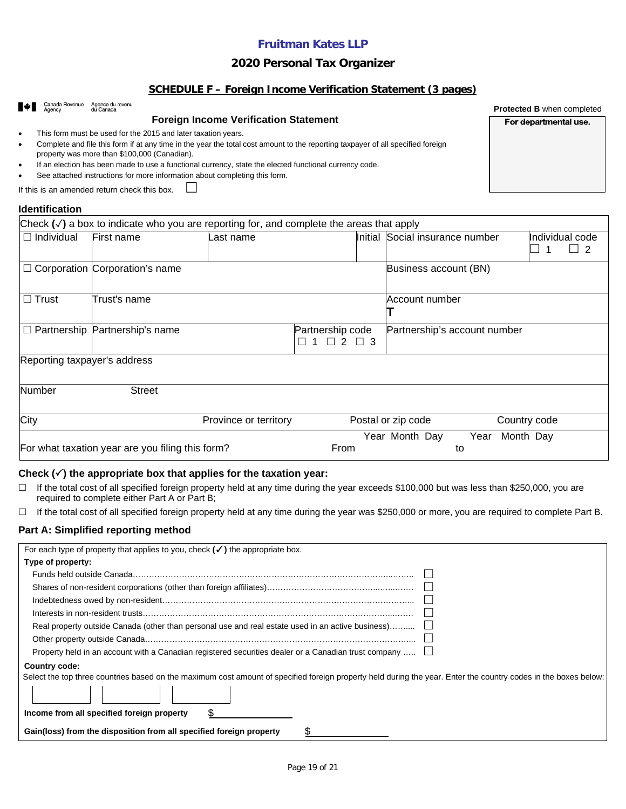### **2020 Personal Tax Organizer**

#### **SCHEDULE F – Foreign Income Verification Statement (3 pages)**

| Canada Revenue               | Agence du revenu<br>du Canada                                                                                                                                                        |                       |                                          |         |                              |              | <b>Protected B when completed</b> |
|------------------------------|--------------------------------------------------------------------------------------------------------------------------------------------------------------------------------------|-----------------------|------------------------------------------|---------|------------------------------|--------------|-----------------------------------|
|                              | <b>Foreign Income Verification Statement</b>                                                                                                                                         |                       |                                          |         |                              |              | For departmental use.             |
| $\bullet$                    | This form must be used for the 2015 and later taxation years.                                                                                                                        |                       |                                          |         |                              |              |                                   |
| $\bullet$                    | Complete and file this form if at any time in the year the total cost amount to the reporting taxpayer of all specified foreign                                                      |                       |                                          |         |                              |              |                                   |
|                              | property was more than \$100,000 (Canadian).                                                                                                                                         |                       |                                          |         |                              |              |                                   |
| $\bullet$                    | If an election has been made to use a functional currency, state the elected functional currency code.<br>See attached instructions for more information about completing this form. |                       |                                          |         |                              |              |                                   |
|                              | If this is an amended return check this box.                                                                                                                                         |                       |                                          |         |                              |              |                                   |
|                              |                                                                                                                                                                                      |                       |                                          |         |                              |              |                                   |
| <b>Identification</b>        |                                                                                                                                                                                      |                       |                                          |         |                              |              |                                   |
|                              | Check $(\checkmark)$ a box to indicate who you are reporting for, and complete the areas that apply                                                                                  |                       |                                          |         |                              |              |                                   |
| $\Box$ Individual            | First name                                                                                                                                                                           | Last name             |                                          | Initial | Social insurance number      |              | Individual code                   |
|                              |                                                                                                                                                                                      |                       |                                          |         |                              |              | 2                                 |
|                              | $\Box$ Corporation Corporation's name                                                                                                                                                |                       |                                          |         | Business account (BN)        |              |                                   |
|                              |                                                                                                                                                                                      |                       |                                          |         |                              |              |                                   |
|                              |                                                                                                                                                                                      |                       |                                          |         |                              |              |                                   |
| $\Box$ Trust                 | Trust's name                                                                                                                                                                         |                       |                                          |         | Account number               |              |                                   |
|                              |                                                                                                                                                                                      |                       |                                          |         |                              |              |                                   |
|                              | $\Box$ Partnership Partnership's name                                                                                                                                                |                       | Partnership code                         |         | Partnership's account number |              |                                   |
|                              |                                                                                                                                                                                      |                       | $\Box$ 2 $\Box$ 3<br>$\overline{1}$<br>П |         |                              |              |                                   |
| Reporting taxpayer's address |                                                                                                                                                                                      |                       |                                          |         |                              |              |                                   |
|                              |                                                                                                                                                                                      |                       |                                          |         |                              |              |                                   |
|                              |                                                                                                                                                                                      |                       |                                          |         |                              |              |                                   |
| <b>Number</b>                | <b>Street</b>                                                                                                                                                                        |                       |                                          |         |                              |              |                                   |
|                              |                                                                                                                                                                                      |                       |                                          |         |                              |              |                                   |
| City                         |                                                                                                                                                                                      | Province or territory |                                          |         | Postal or zip code           | Country code |                                   |
|                              |                                                                                                                                                                                      |                       |                                          |         | Year Month Day<br>Year       | Month Day    |                                   |
|                              | For what taxation year are you filing this form?                                                                                                                                     |                       | From                                     |         | to                           |              |                                   |

#### **Check () the appropriate box that applies for the taxation year:**

- $\Box$  If the total cost of all specified foreign property held at any time during the year exceeds \$100,000 but was less than \$250,000, you are required to complete either Part A or Part B;
- If the total cost of all specified foreign property held at any time during the year was \$250,000 or more, you are required to complete Part B.

#### **Part A: Simplified reporting method**

| For each type of property that applies to you, check $(\checkmark)$ the appropriate box.                                                                        |
|-----------------------------------------------------------------------------------------------------------------------------------------------------------------|
| Type of property:                                                                                                                                               |
|                                                                                                                                                                 |
|                                                                                                                                                                 |
|                                                                                                                                                                 |
|                                                                                                                                                                 |
| Real property outside Canada (other than personal use and real estate used in an active business)                                                               |
|                                                                                                                                                                 |
| Property held in an account with a Canadian registered securities dealer or a Canadian trust company                                                            |
| Country code:                                                                                                                                                   |
| Select the top three countries based on the maximum cost amount of specified foreign property held during the year. Enter the country codes in the boxes below: |
|                                                                                                                                                                 |
| \$.<br>Income from all specified foreign property                                                                                                               |
| Gain(loss) from the disposition from all specified foreign property                                                                                             |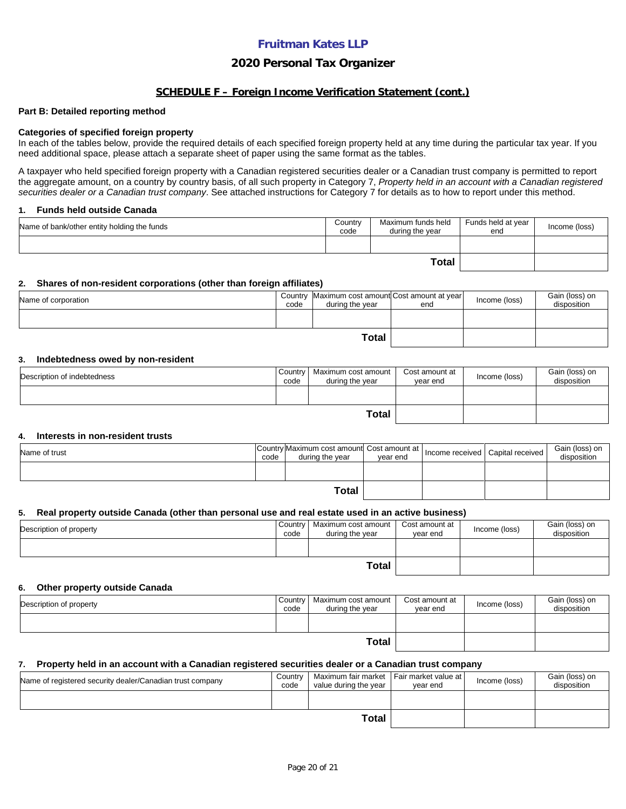### **2020 Personal Tax Organizer**

#### **SCHEDULE F – Foreign Income Verification Statement (cont.)**

#### **Part B: Detailed reporting method**

#### **Categories of specified foreign property**

In each of the tables below, provide the required details of each specified foreign property held at any time during the particular tax year. If you need additional space, please attach a separate sheet of paper using the same format as the tables.

A taxpayer who held specified foreign property with a Canadian registered securities dealer or a Canadian trust company is permitted to report the aggregate amount, on a country by country basis, of all such property in Category 7, *Property held in an account with a Canadian registered securities dealer or a Canadian trust company*. See attached instructions for Category 7 for details as to how to report under this method.

#### **1. Funds held outside Canada**

| Name of bank/other entity holding the funds | Country<br>code | Maximum funds held<br>during the year | Funds held at year<br>end | Income (loss) |
|---------------------------------------------|-----------------|---------------------------------------|---------------------------|---------------|
|                                             |                 |                                       |                           |               |
|                                             |                 | <b>Total</b>                          |                           |               |

#### **2. Shares of non-resident corporations (other than foreign affiliates)**

| Name of corporation | code | Country Maximum cost amount Cost amount at year<br>during the year | end | Income (loss) | Gain (loss) on<br>disposition |
|---------------------|------|--------------------------------------------------------------------|-----|---------------|-------------------------------|
|                     |      |                                                                    |     |               |                               |
|                     |      |                                                                    |     |               |                               |

#### **3. Indebtedness owed by non-resident**

| Description of indebtedness | Country<br>code | Maximum cost amount<br>during the vear | Cost amount at<br>vear end | Income (loss) | Gain (loss) on<br>disposition |
|-----------------------------|-----------------|----------------------------------------|----------------------------|---------------|-------------------------------|
|                             |                 |                                        |                            |               |                               |
| Total                       |                 |                                        |                            |               |                               |

#### **4. Interests in non-resident trusts**

| Name of trust | code | Country Maximum cost amount Cost amount at  <br>during the vear | vear end | Income received Capital received | Gain (loss) on<br>disposition |
|---------------|------|-----------------------------------------------------------------|----------|----------------------------------|-------------------------------|
|               |      |                                                                 |          |                                  |                               |
|               |      |                                                                 |          |                                  |                               |

#### **5. Real property outside Canada (other than personal use and real estate used in an active business)**

| Description of property | Country<br>code | Maximum cost amount  <br>during the year | Cost amount at<br>vear end | Income (loss) | Gain (loss) on<br>disposition |
|-------------------------|-----------------|------------------------------------------|----------------------------|---------------|-------------------------------|
|                         |                 |                                          |                            |               |                               |
| <b>Total</b>            |                 |                                          |                            |               |                               |

#### **6. Other property outside Canada**

| Description of property | Country<br>code | Maximum cost amount<br>during the year | Cost amount at<br>vear end | Income (loss) | Gain (loss) on<br>disposition |
|-------------------------|-----------------|----------------------------------------|----------------------------|---------------|-------------------------------|
|                         |                 |                                        |                            |               |                               |
| <b>Total</b>            |                 |                                        |                            |               |                               |

#### **7. Property held in an account with a Canadian registered securities dealer or a Canadian trust company**

| Name of registered security dealer/Canadian trust company | Country<br>code | Maximum fair market   Fair market value at  <br>value during the vear | vear end | Income (loss) | Gain (loss) on<br>disposition |
|-----------------------------------------------------------|-----------------|-----------------------------------------------------------------------|----------|---------------|-------------------------------|
|                                                           |                 |                                                                       |          |               |                               |
|                                                           |                 |                                                                       |          |               |                               |